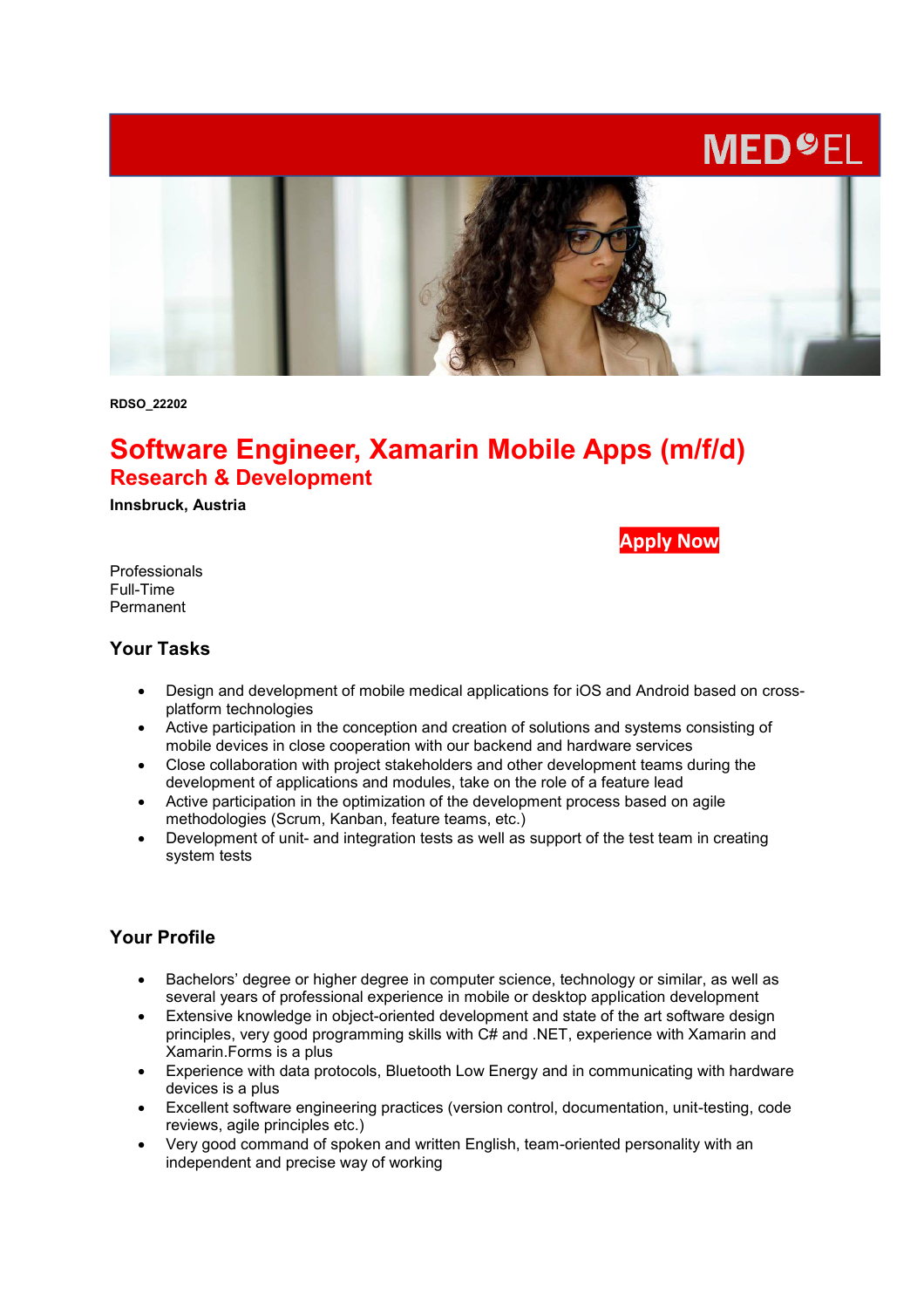# **MED<sup>O</sup>EL**



**RDSO\_22202**

# **Software Engineer, Xamarin Mobile Apps (m/f/d) Research & Development**

**Innsbruck, Austria** 

**[Apply Now](https://jobs.medel.com/open-position/RDSO_22202/EN/online)**

Professionals Full-Time Permanent

#### **Your Tasks**

- Design and development of mobile medical applications for iOS and Android based on crossplatform technologies
- Active participation in the conception and creation of solutions and systems consisting of mobile devices in close cooperation with our backend and hardware services
- Close collaboration with project stakeholders and other development teams during the development of applications and modules, take on the role of a feature lead
- Active participation in the optimization of the development process based on agile methodologies (Scrum, Kanban, feature teams, etc.)
- Development of unit- and integration tests as well as support of the test team in creating system tests

# **Your Profile**

- Bachelors' degree or higher degree in computer science, technology or similar, as well as several years of professional experience in mobile or desktop application development
- Extensive knowledge in object-oriented development and state of the art software design principles, very good programming skills with C# and .NET, experience with Xamarin and Xamarin.Forms is a plus
- Experience with data protocols, Bluetooth Low Energy and in communicating with hardware devices is a plus
- Excellent software engineering practices (version control, documentation, unit-testing, code reviews, agile principles etc.)
- Very good command of spoken and written English, team-oriented personality with an independent and precise way of working